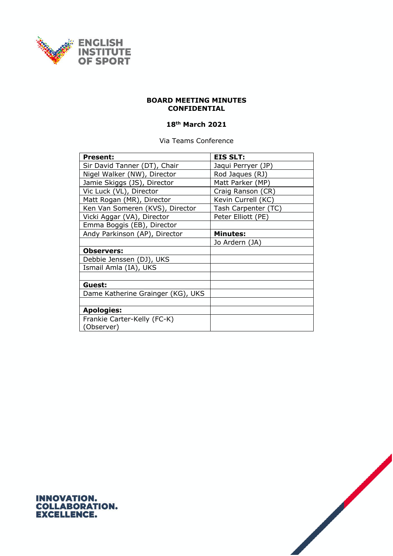

## **BOARD MEETING MINUTES CONFIDENTIAL**

## **18th March 2021**

Via Teams Conference

| <b>Present:</b>                   | <b>EIS SLT:</b>     |
|-----------------------------------|---------------------|
| Sir David Tanner (DT), Chair      | Jaqui Perryer (JP)  |
| Nigel Walker (NW), Director       | Rod Jaques (RJ)     |
| Jamie Skiggs (JS), Director       | Matt Parker (MP)    |
| Vic Luck (VL), Director           | Craig Ranson (CR)   |
| Matt Rogan (MR), Director         | Kevin Currell (KC)  |
| Ken Van Someren (KVS), Director   | Tash Carpenter (TC) |
| Vicki Aggar (VA), Director        | Peter Elliott (PE)  |
| Emma Boggis (EB), Director        |                     |
| Andy Parkinson (AP), Director     | <b>Minutes:</b>     |
|                                   | Jo Ardern (JA)      |
| <b>Observers:</b>                 |                     |
| Debbie Jenssen (DJ), UKS          |                     |
| Ismail Amla (IA), UKS             |                     |
|                                   |                     |
| Guest:                            |                     |
| Dame Katherine Grainger (KG), UKS |                     |
|                                   |                     |
| <b>Apologies:</b>                 |                     |
| Frankie Carter-Kelly (FC-K)       |                     |
| (Observer)                        |                     |



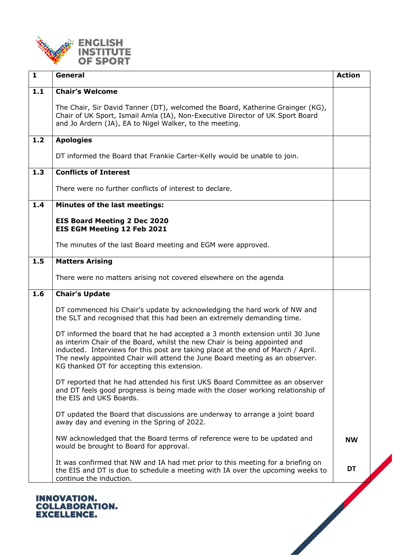

| $\mathbf{1}$ | General                                                                                                                                                                                                                                                                                                                                                                       | <b>Action</b> |
|--------------|-------------------------------------------------------------------------------------------------------------------------------------------------------------------------------------------------------------------------------------------------------------------------------------------------------------------------------------------------------------------------------|---------------|
| $1.1$        | <b>Chair's Welcome</b>                                                                                                                                                                                                                                                                                                                                                        |               |
|              | The Chair, Sir David Tanner (DT), welcomed the Board, Katherine Grainger (KG),<br>Chair of UK Sport, Ismail Amla (IA), Non-Executive Director of UK Sport Board<br>and Jo Ardern (JA), EA to Nigel Walker, to the meeting.                                                                                                                                                    |               |
| 1.2          | <b>Apologies</b>                                                                                                                                                                                                                                                                                                                                                              |               |
|              | DT informed the Board that Frankie Carter-Kelly would be unable to join.                                                                                                                                                                                                                                                                                                      |               |
| 1.3          | <b>Conflicts of Interest</b>                                                                                                                                                                                                                                                                                                                                                  |               |
|              | There were no further conflicts of interest to declare.                                                                                                                                                                                                                                                                                                                       |               |
| 1.4          | <b>Minutes of the last meetings:</b>                                                                                                                                                                                                                                                                                                                                          |               |
|              | <b>EIS Board Meeting 2 Dec 2020</b><br>EIS EGM Meeting 12 Feb 2021                                                                                                                                                                                                                                                                                                            |               |
|              | The minutes of the last Board meeting and EGM were approved.                                                                                                                                                                                                                                                                                                                  |               |
| 1.5          | <b>Matters Arising</b>                                                                                                                                                                                                                                                                                                                                                        |               |
|              | There were no matters arising not covered elsewhere on the agenda                                                                                                                                                                                                                                                                                                             |               |
| 1.6          | <b>Chair's Update</b>                                                                                                                                                                                                                                                                                                                                                         |               |
|              | DT commenced his Chair's update by acknowledging the hard work of NW and<br>the SLT and recognised that this had been an extremely demanding time.                                                                                                                                                                                                                            |               |
|              | DT informed the board that he had accepted a 3 month extension until 30 June<br>as interim Chair of the Board, whilst the new Chair is being appointed and<br>inducted. Interviews for this post are taking place at the end of March / April.<br>The newly appointed Chair will attend the June Board meeting as an observer.<br>KG thanked DT for accepting this extension. |               |
|              | DT reported that he had attended his first UKS Board Committee as an observer<br>and DT feels good progress is being made with the closer working relationship of<br>the EIS and UKS Boards.                                                                                                                                                                                  |               |
|              | DT updated the Board that discussions are underway to arrange a joint board<br>away day and evening in the Spring of 2022.                                                                                                                                                                                                                                                    |               |
|              | NW acknowledged that the Board terms of reference were to be updated and<br>would be brought to Board for approval.                                                                                                                                                                                                                                                           | <b>NW</b>     |
|              | It was confirmed that NW and IA had met prior to this meeting for a briefing on<br>the EIS and DT is due to schedule a meeting with IA over the upcoming weeks to<br>continue the induction.                                                                                                                                                                                  | DT            |
|              |                                                                                                                                                                                                                                                                                                                                                                               |               |

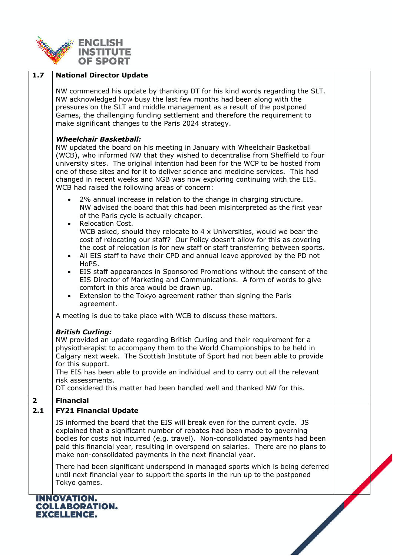

| 1.7          | <b>National Director Update</b>                                                                                                                                                                                                                                                                                                                                                                                                                                                                                                                                                                                                                                                                                                                                                                                                                                                           |  |
|--------------|-------------------------------------------------------------------------------------------------------------------------------------------------------------------------------------------------------------------------------------------------------------------------------------------------------------------------------------------------------------------------------------------------------------------------------------------------------------------------------------------------------------------------------------------------------------------------------------------------------------------------------------------------------------------------------------------------------------------------------------------------------------------------------------------------------------------------------------------------------------------------------------------|--|
|              | NW commenced his update by thanking DT for his kind words regarding the SLT.<br>NW acknowledged how busy the last few months had been along with the<br>pressures on the SLT and middle management as a result of the postponed<br>Games, the challenging funding settlement and therefore the requirement to<br>make significant changes to the Paris 2024 strategy.                                                                                                                                                                                                                                                                                                                                                                                                                                                                                                                     |  |
|              | <b>Wheelchair Basketball:</b><br>NW updated the board on his meeting in January with Wheelchair Basketball<br>(WCB), who informed NW that they wished to decentralise from Sheffield to four<br>university sites. The original intention had been for the WCP to be hosted from<br>one of these sites and for it to deliver science and medicine services. This had<br>changed in recent weeks and NGB was now exploring continuing with the EIS.<br>WCB had raised the following areas of concern:                                                                                                                                                                                                                                                                                                                                                                                       |  |
|              | • 2% annual increase in relation to the change in charging structure.<br>NW advised the board that this had been misinterpreted as the first year<br>of the Paris cycle is actually cheaper.<br><b>Relocation Cost.</b><br>$\bullet$<br>WCB asked, should they relocate to 4 x Universities, would we bear the<br>cost of relocating our staff? Our Policy doesn't allow for this as covering<br>the cost of relocation is for new staff or staff transferring between sports.<br>All EIS staff to have their CPD and annual leave approved by the PD not<br>$\bullet$<br>HoPS.<br>EIS staff appearances in Sponsored Promotions without the consent of the<br>$\bullet$<br>EIS Director of Marketing and Communications. A form of words to give<br>comfort in this area would be drawn up.<br>Extension to the Tokyo agreement rather than signing the Paris<br>$\bullet$<br>agreement. |  |
|              | A meeting is due to take place with WCB to discuss these matters.<br><b>British Curling:</b><br>NW provided an update regarding British Curling and their requirement for a<br>physiotherapist to accompany them to the World Championships to be held in<br>Calgary next week. The Scottish Institute of Sport had not been able to provide<br>for this support.<br>The EIS has been able to provide an individual and to carry out all the relevant<br>risk assessments.<br>DT considered this matter had been handled well and thanked NW for this.                                                                                                                                                                                                                                                                                                                                    |  |
| $\mathbf{2}$ | <b>Financial</b>                                                                                                                                                                                                                                                                                                                                                                                                                                                                                                                                                                                                                                                                                                                                                                                                                                                                          |  |
| 2.1          | <b>FY21 Financial Update</b>                                                                                                                                                                                                                                                                                                                                                                                                                                                                                                                                                                                                                                                                                                                                                                                                                                                              |  |
|              | JS informed the board that the EIS will break even for the current cycle. JS<br>explained that a significant number of rebates had been made to governing<br>bodies for costs not incurred (e.g. travel). Non-consolidated payments had been<br>paid this financial year, resulting in overspend on salaries. There are no plans to<br>make non-consolidated payments in the next financial year.                                                                                                                                                                                                                                                                                                                                                                                                                                                                                         |  |
|              | There had been significant underspend in managed sports which is being deferred<br>until next financial year to support the sports in the run up to the postponed<br>Tokyo games.                                                                                                                                                                                                                                                                                                                                                                                                                                                                                                                                                                                                                                                                                                         |  |
|              | INNOVATION.<br><b>COLLABORATION.</b><br><b>EXCELLENCE.</b>                                                                                                                                                                                                                                                                                                                                                                                                                                                                                                                                                                                                                                                                                                                                                                                                                                |  |

٦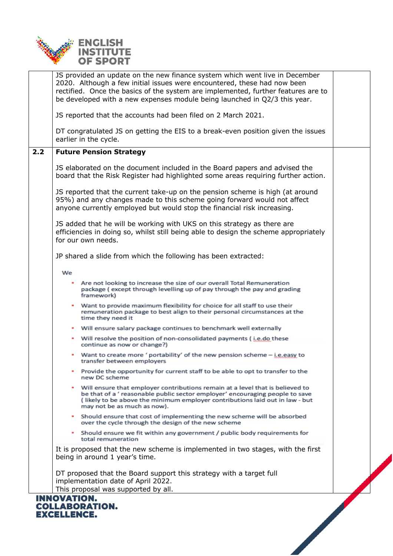

|     | JS provided an update on the new finance system which went live in December<br>2020. Although a few initial issues were encountered, these had now been<br>rectified. Once the basics of the system are implemented, further features are to<br>be developed with a new expenses module being launched in Q2/3 this year. |  |
|-----|---------------------------------------------------------------------------------------------------------------------------------------------------------------------------------------------------------------------------------------------------------------------------------------------------------------------------|--|
|     | JS reported that the accounts had been filed on 2 March 2021.                                                                                                                                                                                                                                                             |  |
|     | DT congratulated JS on getting the EIS to a break-even position given the issues<br>earlier in the cycle.                                                                                                                                                                                                                 |  |
| 2.2 | <b>Future Pension Strategy</b>                                                                                                                                                                                                                                                                                            |  |
|     | JS elaborated on the document included in the Board papers and advised the<br>board that the Risk Register had highlighted some areas requiring further action.                                                                                                                                                           |  |
|     | JS reported that the current take-up on the pension scheme is high (at around<br>95%) and any changes made to this scheme going forward would not affect<br>anyone currently employed but would stop the financial risk increasing.                                                                                       |  |
|     | JS added that he will be working with UKS on this strategy as there are<br>efficiencies in doing so, whilst still being able to design the scheme appropriately<br>for our own needs.                                                                                                                                     |  |
|     | JP shared a slide from which the following has been extracted:                                                                                                                                                                                                                                                            |  |
|     | We                                                                                                                                                                                                                                                                                                                        |  |
|     | Are not looking to increase the size of our overall Total Remuneration<br>package (except through levelling up of pay through the pay and grading<br>framework)                                                                                                                                                           |  |
|     | . Want to provide maximum flexibility for choice for all staff to use their<br>remuneration package to best align to their personal circumstances at the<br>time they need it                                                                                                                                             |  |
|     | Will ensure salary package continues to benchmark well externally<br>۰                                                                                                                                                                                                                                                    |  |
|     | • Will resolve the position of non-consolidated payments (i.e.do these<br>continue as now or change?)                                                                                                                                                                                                                     |  |
|     | Want to create more ' portability' of the new pension scheme - i.e.easy to<br>transfer between employers                                                                                                                                                                                                                  |  |
|     | Provide the opportunity for current staff to be able to opt to transfer to the<br>new DC scheme                                                                                                                                                                                                                           |  |
|     | Will ensure that employer contributions remain at a level that is believed to<br>be that of a ' reasonable public sector employer' encouraging people to save<br>(likely to be above the minimum employer contributions laid out in law - but<br>may not be as much as now).                                              |  |
|     | • Should ensure that cost of implementing the new scheme will be absorbed<br>over the cycle through the design of the new scheme                                                                                                                                                                                          |  |
|     | • Should ensure we fit within any government / public body requirements for<br>total remuneration                                                                                                                                                                                                                         |  |
|     | It is proposed that the new scheme is implemented in two stages, with the first<br>being in around 1 year's time.                                                                                                                                                                                                         |  |
|     | DT proposed that the Board support this strategy with a target full<br>implementation date of April 2022.<br>This proposal was supported by all.                                                                                                                                                                          |  |
|     | <b>INNOVATION.</b><br><b>COLLABORATION.</b><br><b>EXCELLENCE.</b>                                                                                                                                                                                                                                                         |  |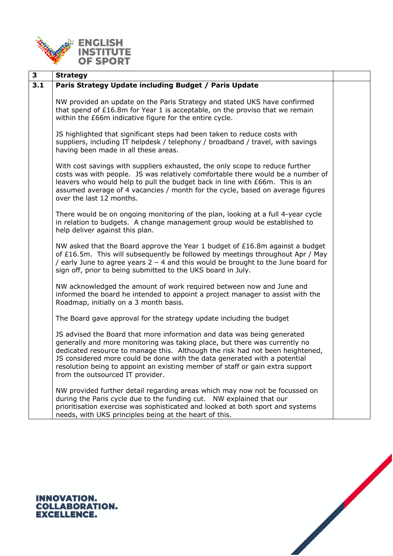

| 3   | <b>Strategy</b>                                                                                                                                                                                                                                                                                                                                                                                                                          |  |
|-----|------------------------------------------------------------------------------------------------------------------------------------------------------------------------------------------------------------------------------------------------------------------------------------------------------------------------------------------------------------------------------------------------------------------------------------------|--|
| 3.1 | Paris Strategy Update including Budget / Paris Update                                                                                                                                                                                                                                                                                                                                                                                    |  |
|     | NW provided an update on the Paris Strategy and stated UKS have confirmed<br>that spend of £16.8m for Year 1 is acceptable, on the proviso that we remain<br>within the £66m indicative figure for the entire cycle.                                                                                                                                                                                                                     |  |
|     | JS highlighted that significant steps had been taken to reduce costs with<br>suppliers, including IT helpdesk / telephony / broadband / travel, with savings<br>having been made in all these areas.                                                                                                                                                                                                                                     |  |
|     | With cost savings with suppliers exhausted, the only scope to reduce further<br>costs was with people. JS was relatively comfortable there would be a number of<br>leavers who would help to pull the budget back in line with £66m. This is an<br>assumed average of 4 vacancies / month for the cycle, based on average figures<br>over the last 12 months.                                                                            |  |
|     | There would be on ongoing monitoring of the plan, looking at a full 4-year cycle<br>in relation to budgets. A change management group would be established to<br>help deliver against this plan.                                                                                                                                                                                                                                         |  |
|     | NW asked that the Board approve the Year 1 budget of £16.8m against a budget<br>of £16.5m. This will subsequently be followed by meetings throughout Apr / May<br>/ early June to agree years $2 - 4$ and this would be brought to the June board for<br>sign off, prior to being submitted to the UKS board in July.                                                                                                                    |  |
|     | NW acknowledged the amount of work required between now and June and<br>informed the board he intended to appoint a project manager to assist with the<br>Roadmap, initially on a 3 month basis.                                                                                                                                                                                                                                         |  |
|     | The Board gave approval for the strategy update including the budget                                                                                                                                                                                                                                                                                                                                                                     |  |
|     | JS advised the Board that more information and data was being generated<br>generally and more monitoring was taking place, but there was currently no<br>dedicated resource to manage this. Although the risk had not been heightened,<br>JS considered more could be done with the data generated with a potential<br>resolution being to appoint an existing member of staff or gain extra support<br>from the outsourced IT provider. |  |
|     | NW provided further detail regarding areas which may now not be focussed on<br>during the Paris cycle due to the funding cut. NW explained that our<br>prioritisation exercise was sophisticated and looked at both sport and systems<br>needs, with UKS principles being at the heart of this.                                                                                                                                          |  |



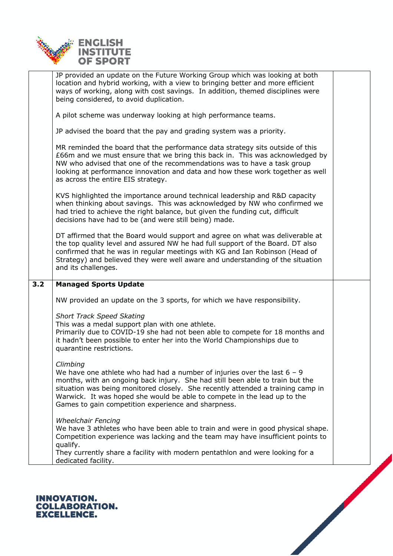

|     | JP provided an update on the Future Working Group which was looking at both<br>location and hybrid working, with a view to bringing better and more efficient<br>ways of working, along with cost savings. In addition, themed disciplines were<br>being considered, to avoid duplication.                                                                                                    |  |
|-----|-----------------------------------------------------------------------------------------------------------------------------------------------------------------------------------------------------------------------------------------------------------------------------------------------------------------------------------------------------------------------------------------------|--|
|     | A pilot scheme was underway looking at high performance teams.                                                                                                                                                                                                                                                                                                                                |  |
|     | JP advised the board that the pay and grading system was a priority.                                                                                                                                                                                                                                                                                                                          |  |
|     | MR reminded the board that the performance data strategy sits outside of this<br>£66m and we must ensure that we bring this back in. This was acknowledged by<br>NW who advised that one of the recommendations was to have a task group<br>looking at performance innovation and data and how these work together as well<br>as across the entire EIS strategy.                              |  |
|     | KVS highlighted the importance around technical leadership and R&D capacity<br>when thinking about savings. This was acknowledged by NW who confirmed we<br>had tried to achieve the right balance, but given the funding cut, difficult<br>decisions have had to be (and were still being) made.                                                                                             |  |
|     | DT affirmed that the Board would support and agree on what was deliverable at<br>the top quality level and assured NW he had full support of the Board. DT also<br>confirmed that he was in regular meetings with KG and Ian Robinson (Head of<br>Strategy) and believed they were well aware and understanding of the situation<br>and its challenges.                                       |  |
|     |                                                                                                                                                                                                                                                                                                                                                                                               |  |
| 3.2 | <b>Managed Sports Update</b>                                                                                                                                                                                                                                                                                                                                                                  |  |
|     | NW provided an update on the 3 sports, for which we have responsibility.                                                                                                                                                                                                                                                                                                                      |  |
|     | <b>Short Track Speed Skating</b><br>This was a medal support plan with one athlete.<br>Primarily due to COVID-19 she had not been able to compete for 18 months and<br>it hadn't been possible to enter her into the World Championships due to<br>quarantine restrictions.                                                                                                                   |  |
|     | Climbing<br>We have one athlete who had had a number of injuries over the last $6 - 9$<br>months, with an ongoing back injury. She had still been able to train but the<br>situation was being monitored closely. She recently attended a training camp in<br>Warwick. It was hoped she would be able to compete in the lead up to the<br>Games to gain competition experience and sharpness. |  |
|     | <b>Wheelchair Fencing</b><br>We have 3 athletes who have been able to train and were in good physical shape.<br>Competition experience was lacking and the team may have insufficient points to<br>qualify.<br>They currently share a facility with modern pentathlon and were looking for a<br>dedicated facility.                                                                           |  |

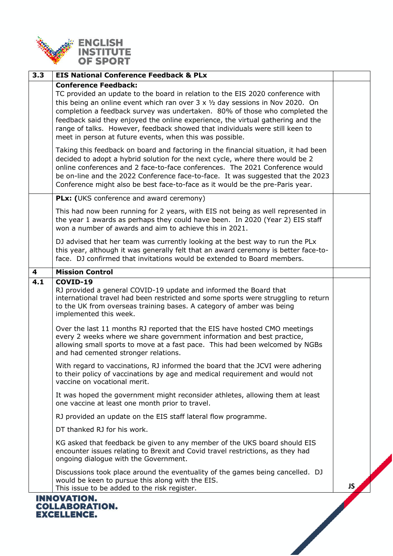

| 3.3 | <b>EIS National Conference Feedback &amp; PLx</b>                                                                                                                                                                                                                                                                                                                                                                                                                                                                                                                                                                   |     |
|-----|---------------------------------------------------------------------------------------------------------------------------------------------------------------------------------------------------------------------------------------------------------------------------------------------------------------------------------------------------------------------------------------------------------------------------------------------------------------------------------------------------------------------------------------------------------------------------------------------------------------------|-----|
|     | <b>Conference Feedback:</b><br>TC provided an update to the board in relation to the EIS 2020 conference with<br>this being an online event which ran over $3 \times \frac{1}{2}$ day sessions in Nov 2020. On<br>completion a feedback survey was undertaken. 80% of those who completed the<br>feedback said they enjoyed the online experience, the virtual gathering and the<br>range of talks. However, feedback showed that individuals were still keen to<br>meet in person at future events, when this was possible.<br>Taking this feedback on board and factoring in the financial situation, it had been |     |
|     | decided to adopt a hybrid solution for the next cycle, where there would be 2<br>online conferences and 2 face-to-face conferences. The 2021 Conference would<br>be on-line and the 2022 Conference face-to-face. It was suggested that the 2023<br>Conference might also be best face-to-face as it would be the pre-Paris year.                                                                                                                                                                                                                                                                                   |     |
|     | PLx: (UKS conference and award ceremony)                                                                                                                                                                                                                                                                                                                                                                                                                                                                                                                                                                            |     |
|     | This had now been running for 2 years, with EIS not being as well represented in<br>the year 1 awards as perhaps they could have been. In 2020 (Year 2) EIS staff<br>won a number of awards and aim to achieve this in 2021.                                                                                                                                                                                                                                                                                                                                                                                        |     |
|     | DJ advised that her team was currently looking at the best way to run the PLx<br>this year, although it was generally felt that an award ceremony is better face-to-<br>face. DJ confirmed that invitations would be extended to Board members.                                                                                                                                                                                                                                                                                                                                                                     |     |
| 4   | <b>Mission Control</b>                                                                                                                                                                                                                                                                                                                                                                                                                                                                                                                                                                                              |     |
| 4.1 | COVID-19<br>RJ provided a general COVID-19 update and informed the Board that<br>international travel had been restricted and some sports were struggling to return<br>to the UK from overseas training bases. A category of amber was being<br>implemented this week.                                                                                                                                                                                                                                                                                                                                              |     |
|     | Over the last 11 months RJ reported that the EIS have hosted CMO meetings<br>every 2 weeks where we share government information and best practice,<br>allowing small sports to move at a fast pace. This had been welcomed by NGBs<br>and had cemented stronger relations.                                                                                                                                                                                                                                                                                                                                         |     |
|     | With regard to vaccinations, RJ informed the board that the JCVI were adhering<br>to their policy of vaccinations by age and medical requirement and would not<br>vaccine on vocational merit.                                                                                                                                                                                                                                                                                                                                                                                                                      |     |
|     | It was hoped the government might reconsider athletes, allowing them at least<br>one vaccine at least one month prior to travel.                                                                                                                                                                                                                                                                                                                                                                                                                                                                                    |     |
|     | RJ provided an update on the EIS staff lateral flow programme.                                                                                                                                                                                                                                                                                                                                                                                                                                                                                                                                                      |     |
|     | DT thanked RJ for his work.                                                                                                                                                                                                                                                                                                                                                                                                                                                                                                                                                                                         |     |
|     | KG asked that feedback be given to any member of the UKS board should EIS<br>encounter issues relating to Brexit and Covid travel restrictions, as they had<br>ongoing dialogue with the Government.                                                                                                                                                                                                                                                                                                                                                                                                                |     |
|     | Discussions took place around the eventuality of the games being cancelled. DJ<br>would be keen to pursue this along with the EIS.<br>This issue to be added to the risk register.                                                                                                                                                                                                                                                                                                                                                                                                                                  | JS. |
|     | <b>INNOVATION.</b><br><b>COLLABORATION.</b><br><b>EXCELLENCE.</b>                                                                                                                                                                                                                                                                                                                                                                                                                                                                                                                                                   |     |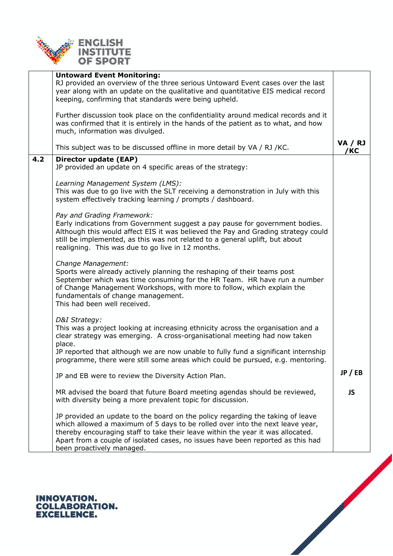

|     | <b>Untoward Event Monitoring:</b>                                                  |                |
|-----|------------------------------------------------------------------------------------|----------------|
|     | RJ provided an overview of the three serious Untoward Event cases over the last    |                |
|     | year along with an update on the qualitative and quantitative EIS medical record   |                |
|     | keeping, confirming that standards were being upheld.                              |                |
|     |                                                                                    |                |
|     | Further discussion took place on the confidentiality around medical records and it |                |
|     | was confirmed that it is entirely in the hands of the patient as to what, and how  |                |
|     | much, information was divulged.                                                    |                |
|     |                                                                                    | <b>VA / RJ</b> |
|     | This subject was to be discussed offline in more detail by VA / RJ / KC.           | /КС            |
| 4.2 | Director update (EAP)                                                              |                |
|     | JP provided an update on 4 specific areas of the strategy:                         |                |
|     |                                                                                    |                |
|     | Learning Management System (LMS):                                                  |                |
|     | This was due to go live with the SLT receiving a demonstration in July with this   |                |
|     | system effectively tracking learning / prompts / dashboard.                        |                |
|     |                                                                                    |                |
|     | Pay and Grading Framework:                                                         |                |
|     | Early indications from Government suggest a pay pause for government bodies.       |                |
|     | Although this would affect EIS it was believed the Pay and Grading strategy could  |                |
|     |                                                                                    |                |
|     | still be implemented, as this was not related to a general uplift, but about       |                |
|     | realigning. This was due to go live in 12 months.                                  |                |
|     |                                                                                    |                |
|     | Change Management:                                                                 |                |
|     | Sports were already actively planning the reshaping of their teams post            |                |
|     | September which was time consuming for the HR Team. HR have run a number           |                |
|     | of Change Management Workshops, with more to follow, which explain the             |                |
|     | fundamentals of change management.                                                 |                |
|     | This had been well received.                                                       |                |
|     |                                                                                    |                |
|     | D&I Strategy:                                                                      |                |
|     | This was a project looking at increasing ethnicity across the organisation and a   |                |
|     | clear strategy was emerging. A cross-organisational meeting had now taken          |                |
|     | place.                                                                             |                |
|     | JP reported that although we are now unable to fully fund a significant internship |                |
|     | programme, there were still some areas which could be pursued, e.g. mentoring.     |                |
|     |                                                                                    | JP/EB          |
|     | JP and EB were to review the Diversity Action Plan.                                |                |
|     |                                                                                    |                |
|     | MR advised the board that future Board meeting agendas should be reviewed,         | JS.            |
|     | with diversity being a more prevalent topic for discussion.                        |                |
|     |                                                                                    |                |
|     | JP provided an update to the board on the policy regarding the taking of leave     |                |
|     | which allowed a maximum of 5 days to be rolled over into the next leave year,      |                |
|     | thereby encouraging staff to take their leave within the year it was allocated.    |                |
|     | Apart from a couple of isolated cases, no issues have been reported as this had    |                |
|     | been proactively managed.                                                          |                |

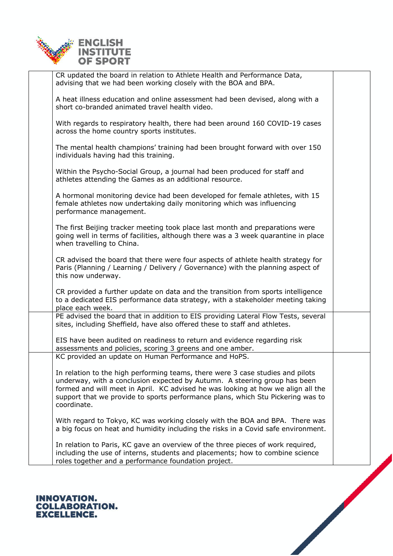

| CR updated the board in relation to Athlete Health and Performance Data,<br>advising that we had been working closely with the BOA and BPA.                                                                                                                                                                                                       |  |
|---------------------------------------------------------------------------------------------------------------------------------------------------------------------------------------------------------------------------------------------------------------------------------------------------------------------------------------------------|--|
| A heat illness education and online assessment had been devised, along with a<br>short co-branded animated travel health video.                                                                                                                                                                                                                   |  |
| With regards to respiratory health, there had been around 160 COVID-19 cases<br>across the home country sports institutes.                                                                                                                                                                                                                        |  |
| The mental health champions' training had been brought forward with over 150<br>individuals having had this training.                                                                                                                                                                                                                             |  |
| Within the Psycho-Social Group, a journal had been produced for staff and<br>athletes attending the Games as an additional resource.                                                                                                                                                                                                              |  |
| A hormonal monitoring device had been developed for female athletes, with 15<br>female athletes now undertaking daily monitoring which was influencing<br>performance management.                                                                                                                                                                 |  |
| The first Beijing tracker meeting took place last month and preparations were<br>going well in terms of facilities, although there was a 3 week quarantine in place<br>when travelling to China.                                                                                                                                                  |  |
| CR advised the board that there were four aspects of athlete health strategy for<br>Paris (Planning / Learning / Delivery / Governance) with the planning aspect of<br>this now underway.                                                                                                                                                         |  |
| CR provided a further update on data and the transition from sports intelligence<br>to a dedicated EIS performance data strategy, with a stakeholder meeting taking<br>place each week.                                                                                                                                                           |  |
| PE advised the board that in addition to EIS providing Lateral Flow Tests, several<br>sites, including Sheffield, have also offered these to staff and athletes.                                                                                                                                                                                  |  |
| EIS have been audited on readiness to return and evidence regarding risk<br>assessments and policies, scoring 3 greens and one amber.                                                                                                                                                                                                             |  |
| KC provided an update on Human Performance and HoPS.                                                                                                                                                                                                                                                                                              |  |
| In relation to the high performing teams, there were 3 case studies and pilots<br>underway, with a conclusion expected by Autumn. A steering group has been<br>formed and will meet in April. KC advised he was looking at how we align all the<br>support that we provide to sports performance plans, which Stu Pickering was to<br>coordinate. |  |
| With regard to Tokyo, KC was working closely with the BOA and BPA. There was<br>a big focus on heat and humidity including the risks in a Covid safe environment.                                                                                                                                                                                 |  |
| In relation to Paris, KC gave an overview of the three pieces of work required,<br>including the use of interns, students and placements; how to combine science<br>roles together and a performance foundation project.                                                                                                                          |  |
|                                                                                                                                                                                                                                                                                                                                                   |  |

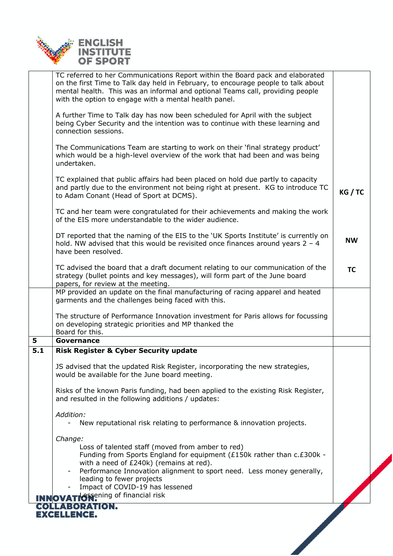

|     | TC referred to her Communications Report within the Board pack and elaborated<br>on the first Time to Talk day held in February, to encourage people to talk about<br>mental health. This was an informal and optional Teams call, providing people<br>with the option to engage with a mental health panel.<br>A further Time to Talk day has now been scheduled for April with the subject<br>being Cyber Security and the intention was to continue with these learning and<br>connection sessions. |           |
|-----|--------------------------------------------------------------------------------------------------------------------------------------------------------------------------------------------------------------------------------------------------------------------------------------------------------------------------------------------------------------------------------------------------------------------------------------------------------------------------------------------------------|-----------|
|     | The Communications Team are starting to work on their 'final strategy product'<br>which would be a high-level overview of the work that had been and was being<br>undertaken.                                                                                                                                                                                                                                                                                                                          |           |
|     | TC explained that public affairs had been placed on hold due partly to capacity<br>and partly due to the environment not being right at present. KG to introduce TC<br>to Adam Conant (Head of Sport at DCMS).                                                                                                                                                                                                                                                                                         | KG / TC   |
|     | TC and her team were congratulated for their achievements and making the work<br>of the EIS more understandable to the wider audience.                                                                                                                                                                                                                                                                                                                                                                 |           |
|     | DT reported that the naming of the EIS to the 'UK Sports Institute' is currently on<br>hold. NW advised that this would be revisited once finances around years $2 - 4$<br>have been resolved.                                                                                                                                                                                                                                                                                                         | <b>NW</b> |
|     | TC advised the board that a draft document relating to our communication of the<br>strategy (bullet points and key messages), will form part of the June board<br>papers, for review at the meeting.                                                                                                                                                                                                                                                                                                   | <b>TC</b> |
|     | MP provided an update on the final manufacturing of racing apparel and heated<br>garments and the challenges being faced with this.                                                                                                                                                                                                                                                                                                                                                                    |           |
|     | The structure of Performance Innovation investment for Paris allows for focussing<br>on developing strategic priorities and MP thanked the<br>Board for this.                                                                                                                                                                                                                                                                                                                                          |           |
| 5   | Governance                                                                                                                                                                                                                                                                                                                                                                                                                                                                                             |           |
| 5.1 | <b>Risk Register &amp; Cyber Security update</b>                                                                                                                                                                                                                                                                                                                                                                                                                                                       |           |
|     | JS advised that the updated Risk Register, incorporating the new strategies,<br>would be available for the June board meeting.                                                                                                                                                                                                                                                                                                                                                                         |           |
|     | Risks of the known Paris funding, had been applied to the existing Risk Register,<br>and resulted in the following additions / updates:                                                                                                                                                                                                                                                                                                                                                                |           |
|     | Addition:<br>New reputational risk relating to performance & innovation projects.                                                                                                                                                                                                                                                                                                                                                                                                                      |           |
|     | Change:<br>Loss of talented staff (moved from amber to red)<br>Funding from Sports England for equipment (£150k rather than c.£300k -<br>with a need of £240k) (remains at red).<br>Performance Innovation alignment to sport need. Less money generally,<br>leading to fewer projects<br>Impact of COVID-19 has lessened                                                                                                                                                                              |           |
|     | <b>INNOVATIGSSening of financial risk</b>                                                                                                                                                                                                                                                                                                                                                                                                                                                              |           |
|     | <b>COLLABORATION.</b><br><b>EXCELLENCE.</b>                                                                                                                                                                                                                                                                                                                                                                                                                                                            |           |